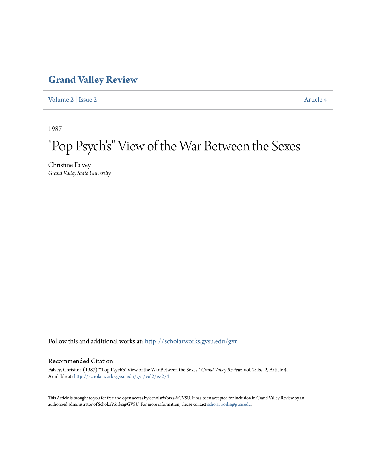## **[Grand Valley Review](http://scholarworks.gvsu.edu/gvr?utm_source=scholarworks.gvsu.edu%2Fgvr%2Fvol2%2Fiss2%2F4&utm_medium=PDF&utm_campaign=PDFCoverPages)**

[Volume 2](http://scholarworks.gvsu.edu/gvr/vol2?utm_source=scholarworks.gvsu.edu%2Fgvr%2Fvol2%2Fiss2%2F4&utm_medium=PDF&utm_campaign=PDFCoverPages) | [Issue 2](http://scholarworks.gvsu.edu/gvr/vol2/iss2?utm_source=scholarworks.gvsu.edu%2Fgvr%2Fvol2%2Fiss2%2F4&utm_medium=PDF&utm_campaign=PDFCoverPages) [Article 4](http://scholarworks.gvsu.edu/gvr/vol2/iss2/4?utm_source=scholarworks.gvsu.edu%2Fgvr%2Fvol2%2Fiss2%2F4&utm_medium=PDF&utm_campaign=PDFCoverPages)

1987

# "Pop Psych' s" View of the War Between the Sexes

Christine Falvey *Grand Valley State University*

Follow this and additional works at: [http://scholarworks.gvsu.edu/gvr](http://scholarworks.gvsu.edu/gvr?utm_source=scholarworks.gvsu.edu%2Fgvr%2Fvol2%2Fiss2%2F4&utm_medium=PDF&utm_campaign=PDFCoverPages)

### Recommended Citation

Falvey, Christine (1987) ""Pop Psych's" View of the War Between the Sexes," *Grand Valley Review*: Vol. 2: Iss. 2, Article 4. Available at: [http://scholarworks.gvsu.edu/gvr/vol2/iss2/4](http://scholarworks.gvsu.edu/gvr/vol2/iss2/4?utm_source=scholarworks.gvsu.edu%2Fgvr%2Fvol2%2Fiss2%2F4&utm_medium=PDF&utm_campaign=PDFCoverPages)

This Article is brought to you for free and open access by ScholarWorks@GVSU. It has been accepted for inclusion in Grand Valley Review by an authorized administrator of ScholarWorks@GVSU. For more information, please contact [scholarworks@gvsu.edu.](mailto:scholarworks@gvsu.edu)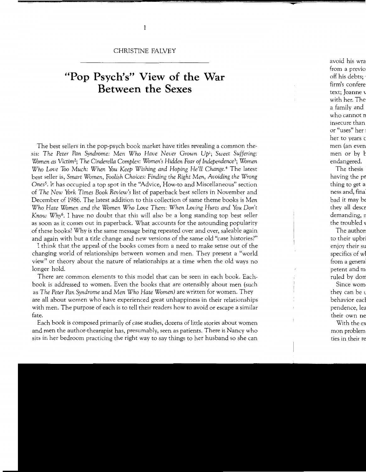#### CHRISTINE FALVEY

## **"Pop Psych's" View of the War Between the Sexes**

The best sellers in the pop-psych book market have titles revealing a common thesis: *The Peter Pan Syndrome: Men Who Have Never Grown Up*1; *Sweet Suffering: Women as* Victim2; *The Cinderella Complex: Women's* Hidden *Fear of Independence3; Women Who Love Too Much: When You Keep* Wishing *and Hoping He'll Change. <sup>4</sup>*The latest best seller is, *Smart* Women, *Foolish Choices: Finding the Right* Men, Avoiding *the Wrong Ones5•* It has occupied a top spot in the "Advice, How-to and Miscellaneous" section of *The New York* Times *Book Review's* list of paperback best sellers in November and December of 1986. The latest addition to this collection of same theme books is *Men Who Hate Women and the Women Who Love Them: When Loving Hurts and You* Don't *Know Why*<sup>6</sup>. I have no doubt that this will also be a long standing top best seller as soon as it comes out in paperback. What accounts for the astounding popularity of these books? Why is the same message being repeated over and over, saleable again and again with but a title change and new versions of the same old "case histories?"

I think that the appeal of the books comes from a need to make sense out of the changing world of relationships between women and men. They present a "world view" or theory about the nature of relationships at a time when the old ways no longer hold.

There are common elements to this model that can be seen in each book. Eachbook is addressed to women. Even the books that are ostensibly about men (such as *The Peter Pan Syndrome* and *Men Who Hate Women)* are written for women. They are all about women who have experienced great unhappiness in their relationships with men. The purpose of each is to tell their readers how to avoid or escape a similar fate.

Each book is composed primarily of case studies, dozens of little stories about women and men the author-thearapist has, presumably, seen as patients. There is Nancy who sits in her bedroom practicing the right way to say things to her husband so she can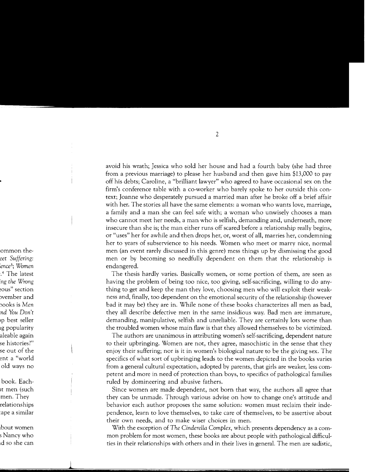avoid his wrath; Jessica who sold her house and had a fourth baby (she had three from a previous marriage) to please her husband and then gave him \$13,000 to pay off his debts; Caroline, a "brilliant lawyer" who agreed to have occasional sex on the firm's conference table with a co-worker who barely spoke to her outside this context; Joanne who desperately pursued a married man after he broke off a brief affair with her. The stories all have the same elements: a woman who wants love, marriage, a family and a man she can feel safe with; a woman who unwisely chooses a man who cannot meet her needs, a man who is selfish, demanding and, underneath, more insecure than she is; the man either runs off scared before a relationship really begins, or "uses" her for awhile and then drops her, or, worst of all, marries her, condemning her to years of subservience to his needs. Women who meet or marry nice, normal men (an event rarely discussed in this genre) mess things up by dismissing the good men or by becoming so needfully dependent on them that the relationship is endangered.

The thesis hardly varies. Basically women, or some portion of them, are seen as having the problem of being too nice, too giving, self-sacrificing, willing to do anything to get and keep the man they love, choosing men who will exploit their weakness and, finally, too dependent on the emotional security of the relationship (however bad it may be) they are in. While none of these books characterizes all men as bad, they all describe defective men in the same insidious way. Bad men are immature, demanding, manipulative, selfish and unreliable. They are certainly lots worse than the troubled women whose main flaw is that they allowed themselves to be victimized.

The authors are unanimous in attributing women's self-sacrificing, dependent nature to their upbringing. Women are not, they agree, masochistic in the sense that they enjoy their suffering; nor is it in women's biological nature to be the giving sex. The specifics of what sort of upbringing leads to the women depicted in the books varies from a general cultural expectation, adopted by parents, that girls are weaker, less competent and more in need of protection than boys, to specifics of pathological families ruled by domineering and abusive fathers.

Since women are made dependent, not born that way, the authors all agree that they can be unmade. Through various advise on how to change one's attitude and behavior each author proposes the same solution: women must reclaim their independence, learn to love themselves, to take care of themselves, to be assertive about their own needs, and to make wiser choices in men.

With the exception of *The Cinderella Complex,* which presents dependency as a common problem for most women, these books are about people with pathological difficulties in their relationships with others and in their lives in general. The men are sadistic,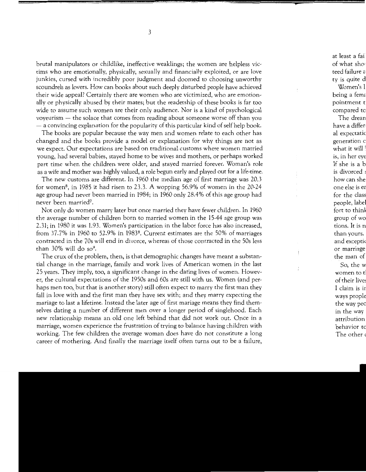brutal manipulators or childlike, ineffective weaklings; the women are helpless victims who are emotionally, physically, sexually and financially exploited, or are love junkies, cursed with incredibly poor judgment and doomed to choosing unworthy scoundrels as lovers. How can books about such deeply disturbed people have achieved their wide appeal? Certainly there are women who are victimized, who are emotionally or physically abused by their mates; but the readership of these books is far too wide to assume such women are their only audience. Nor is a kind of psychological voyeurism - the solace that comes from reading about someone worse off than you  $-$  a convincing explanation for the popularity of this particular kind of self help book.

The books are popular because the way men and women relate to each other has changed and the books provide a model or explanation for why things are not as we expect. Our expectations are based on traditional customs where women married young, had several babies, stayed home to be wives and mothers, or perhaps worked part time when the children were older, and stayed married forever. Woman's role as a wife and mother was highly valued, a role begun early and played out for a life-time.

The new customs are different. In 1960 the median age of first marriage was 20.3 for women<sup>8</sup>, in 1985 it had risen to 23.3. A wopping 56.9% of women in the 20-24 age group had never been married in 1984; in 1960 only 28.4% of this age group had never been married<sup>7</sup>.

Not only do women marry later but once married they have fewer children. In 1960 the average number of children born to married women in the 15-44 age group was 2.31; in 1980 it was 1.93. Women's participation in the labor force has also increased, from 37.7% in 1960 to 52.9% in 1983<sup>8</sup>. Current estimates are the 50% of marriages contracted in the 70s will end in divorce, whereas of those contracted in the 50s less than  $30\%$  will do so<sup>9</sup>.

The crux of the problem, then, is that demographic changes have meant a substantial change in the marriage, family and work lives of American women in the last 25 years. They imply, too, a significant change in the dating lives of women. However, the cultural expectations of the 1950s and 60s are still with us. Women (and perhaps men too, but that is another story) still often expect to marry the first man they fall in love with and the first man they have sex with; and they marry expecting the mariage to last a lifetime. Instead the later age of first mariage means they find themselves dating a number of different men over a longer period of singlehood. Each new relationship means an old one left behind that did not work out. Once in a marriage, women experience the frustration of trying to balance having children with working. The few children the average woman does have do not constitute a long career of mothering. And finally the marriage itself often turns out to be a failure,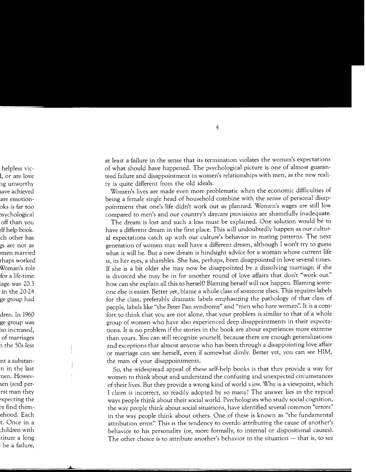at least a failure in the sense that its termination violates the woman's expectations of what should have happened. The psychological picture is one of almost guaranteed failure and disappointment in women's relationships with men, as the new reality is quite different from the old ideals.

Women's lives are made even more problematic when the economic difficulties of being a female single head of household combine with the sense of personal disappointment that one's life didn't work out as planned. Women's wages are still low compared to men's and our country's daycare provisions are shamefully inadequate.

The dream is lost and such a loss must be explained. One solution would be to have a different dream in the first place. This will undoubtedly happen as our cultural expectations catch up with our culture's behavior in mating patterns. The next generation of women may well have a different dream, although I won't try to guess what it will be. But a new dream is hindsight advice for a woman whose current life is, in her eyes, a shambles. She has, perhaps, been disappointed in love several times. If she is a bit older she may now be disappointed by a dissolving marriage; if she is divorced she may be in for another round of love affairs that don't "work *out:'*  how can she explain all this to herself? Blaming herself will not happen. Blaming someone else is easier. Better yet, blame a whole class of someone elses. This requires labels for the class, preferably dramatic labels emphasizing the pathology of that class of people, labels like "the Peter Pan syndrome" and "men who hate women". It is a comfort to think that you are not alone, that your problem is similar to that of a whole group of women who have also experienced deep disappointments in their expectations. It is no problem if the stories in the book are about experiences more extreme than yours. You can still recognize yourself, because there are enough generalizations and exceptions that almost anyone who has been through a disappointing love affair or marriage can see herself, even if somewhat dimly. Better yet, you can see HIM, the man of your disappointments.

So, the widespread appeal of these self-help books is that they provide a way for women to think about and understand the confusing and unexpected circumstances of their lives. But they provide a wrong kind of world view. Why is a viewpoint, which I claim is incorrect, so readily adopted by so many? The answer lies in the typical ways people think about their social world. Psychologists who study social cognition, the way people think about social situations, have identified several common "errors" in the way people think about others. One of these is known as "the fundamental attribution error:' This is the tendency to overdo attributing the cause of another's behavior to his personality (or, more formally, to internal or dispositional causes). The other choice is to attribute another's behavior to the situation - that is, to see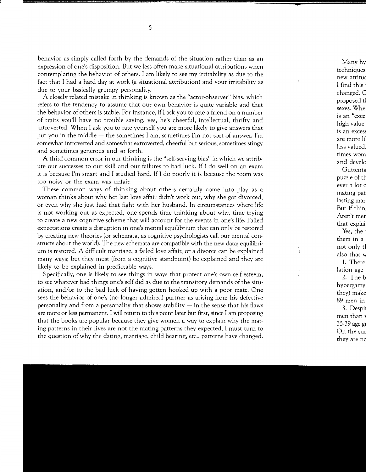behavior as simply called forth by the demands of the situation rather than as an expression of one's disposition. But we less often make situational attributions when contemplating the behavior of others. I am likely to see my irritability as due to the fact that I had a hard day at work (a situational attribution) and your irritability as due to your basically grumpy personality.

A closely related mistake in thinking is known as the "actor-observer" bias, which refers to the tendency to assume that our own behavior is quite variable and that the behavior of others is stable. For instance, if I ask you to rate a friend on a number of traits you'll have no trouble saying, yes, he's cheerful, intellectual, thrifty and introverted. When I ask you to rate yourself you are more likely to give answers that put you in the middle  $-$  the sometimes I am, sometimes I'm not sort of answer. I'm somewhat introverted and somewhat extroverted, cheerful but serious, sometimes stingy and sometimes generous and so forth.

A third common error in our thinking is the "self-serving bias" in which we attribute our successes to our skill and our failures to bad luck. If I do well on an exam it is because I'm smart and I studied hard. If I do poorly it is because the room was too noisy or the exam was unfair.

These common ways of thinking about others certainly come into play as a woman thinks about why her last love affair didn't work out, why she got divorced, or even why she just had that fight with her husband. In circumstances where life is not working out as expected, one spends time thinking about why, time trying to create a new cognitive scheme that will account for the events in one's life. Failed expectations create a disruption in one's mental equilibrium that can only be restored by creating new theories (or schemata, as cognitive psychologists call our mental constructs about the world). The new schemata are compatible with the new data; equilibrium is restored. A difficult marriage, a failed love affair, or a divorce can be explained many ways; but they must (from a cognitive standpoint) be explained and they are likely to be explained in predictable ways.

Specifically, one is likely to see things in ways that protect one's own self-esteem, to see whatever bad things one's self did as due to the transitory demands of the situation, and/or to the bad luck of having gotten hooked up with a poor mate. One sees the behavior of one's (no longer admired) partner as arising from his defective personality and from a personality that shows stability  $-$  in the sense that his flaws are more or less permanent. I will return to this point later but first, since I am proposing that the books are popular because they give women a way to explain why the mating patterns in their lives are not the mating patterns they expected, I must turn to the question of why the dating, marriage, child bearing, etc., patterns have changed.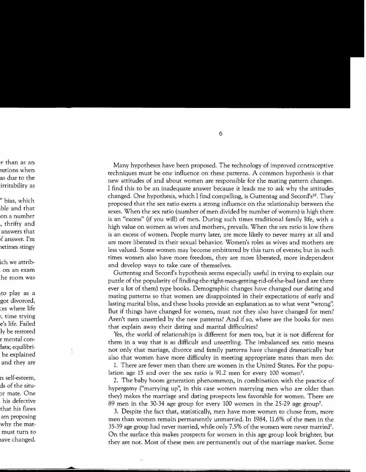Many hypotheses have been proposed. The technology of improved contraceptive techniques must be one influence on these patterns. A common hypothesis is that new attitudes of and about women are responsible for the mating pattern changes. I find this to be an inadequate answer because it leads me to ask why the attitudes changed. One hypothesis, which I find compelling, is Guttentag and Secord's<sup>10</sup>. They proposed that the sex ratio exerts a strong influence on the relationship between the sexes. When the sex ratio (number of men divided by number of women) is high there is an "excess" (if you will) of men. During such times traditional family life, with a high value on women as wives and mothers, prevails. When the sex ratio is low there is an excess of women. People marry later, are more likely to never marry at all and are more liberated in their sexual behavior. Women's roles as wives and mothers are less valued. Some women may become embittered by this turn of events; but in such times women also have more freedom, they are more liberated, more independent and develop ways to take care of themselves.

Guttentag and Secord's hypothesis seems especially useful in trying to explain our puzzle of the popularity of finding-the-right-man-getting-rid-of-the-bad (and are there ever a lot of them) type books. Demographic changes have changed our dating and mating patterns so that women are disappointed in their expectations of early and lasting marital bliss, and these books provide an explanation as to what went "wrong". But if things have changed for women, must not they also have changed for men? Aren't men unsettled by the new patterns? And if so, where are the books for men that explain away their dating and marital difficulties?

Yes, the world of relationships is different for men too, but it is not different for them in a way that is as difficult and unsettling. The imbalanced sex ratio means not only that mariage, divorce and family patterns have changed dramatically but also that women have more difficulty in meeting appropriate mates than men do:

1. There are fewer men than there are women in the United States. For the population age 15 and over the sex ratio is 91.2 men for every 100 women<sup>7</sup>.

2. The baby boom generation phenomenon, in combination with the practice of hypergamy ("marrying up", in this case women marrying men who are older than they) makes the marriage and dating prospects less favorable for women. There are 89 men in the 30-34 age group for every 100 women in the 25-29 age group7.

3. Despite the fact that, statistically, men have more women to chose from, more men than women remain permanently unmarried. In 1984, 11.6% of the men in the 35-39 age group had never married, while only 7.5% of the women were never tnarried7. On the surface this makes prospects for women in this age group look brighter, but they are not. Most of these men are permanently out of the marriage market. Some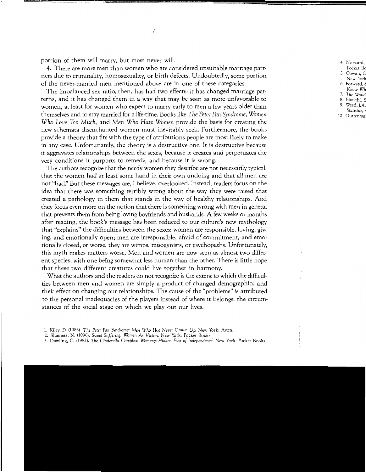portion of them will marry, but most never will.

4. There are more men than women who are considered unsuitable marriage partners due to criminality, homosexuality, or birth defects. Undoubtedly, some portion of the never-married men mentioned above are in one of these categories.

The imbalanced sex ratio, then, has had two effects: it has changed marriage patterns, and it has changed them in a way that may be seen as more unfavorable to women, at least for women who expect to marry early to men a few years older than themselves and to stay married for a life-time. Books like *The Peter Pan Syndrome, Women Who Love* Too *Much,* and *Men Who Hate Women* provide the basis for creating the new schemata disenchanted women must inevitably seek. Furthermore, the books provide a theory that fits with the type of attributions people are most likely to make in any case. Unfortunately, the theory is a destructive one. It is destructive because it aggravates relationships between the sexes, because it creates and perpetuates the very conditions it purports to remedy, and because it is wrong.

The authors recognize that the needy women they describe are not necessarily typical, that the women had at least some hand in their own undoing and that all men are not "bad:' But these messages are, I believe, overlooked. Instead, readers focus on the idea that there was something terribly wrong about the way they were raised that created a pathology in them that stands in the way of healthy relationships. And they focus even more on the notion that there is something wrong with men in general that prevents them from being loving boyfriends and husbands. A few weeks or months after reading, the book's message has been reduced to our culture's new mythology that "explains" the difficulties between the sexes: women are responsible, loving, giving, and emotionally open; men are irresponsible, afraid of commitment, and emotionally closed, or worse, they are wimps, misogynists, or psychopaths. Unfortunately, this myth makes matters worse. Men and women are now seen as almost two different species, with one being somewhat less human than the other. There is little hope that these two different creatures could live together in harmony.

What the authors and the readers do not recognize is the extent to which the difficulties between men and women are simply a product of changed demographics and their effect on changing our relationships. The cause of the "problems" is attributed to the personal inadequacies of the players instead of where it belongs: the circumstances of the social stage on which we play out our lives.

<sup>1.</sup> Kiley, D. (1983). *The Peter Pan Syndrome: Men Who Hve Never Grown Up.* New York: Avon.

<sup>2.</sup> Shainess, N. (1096). *Sweet Suffering: Women As* Victim. New York: Pocket Books.

<sup>3.</sup> Dowling, C. (1982). *The Cinderella Complex: Women;s Hidden Fear of Independence.* New York: Pocket Books.